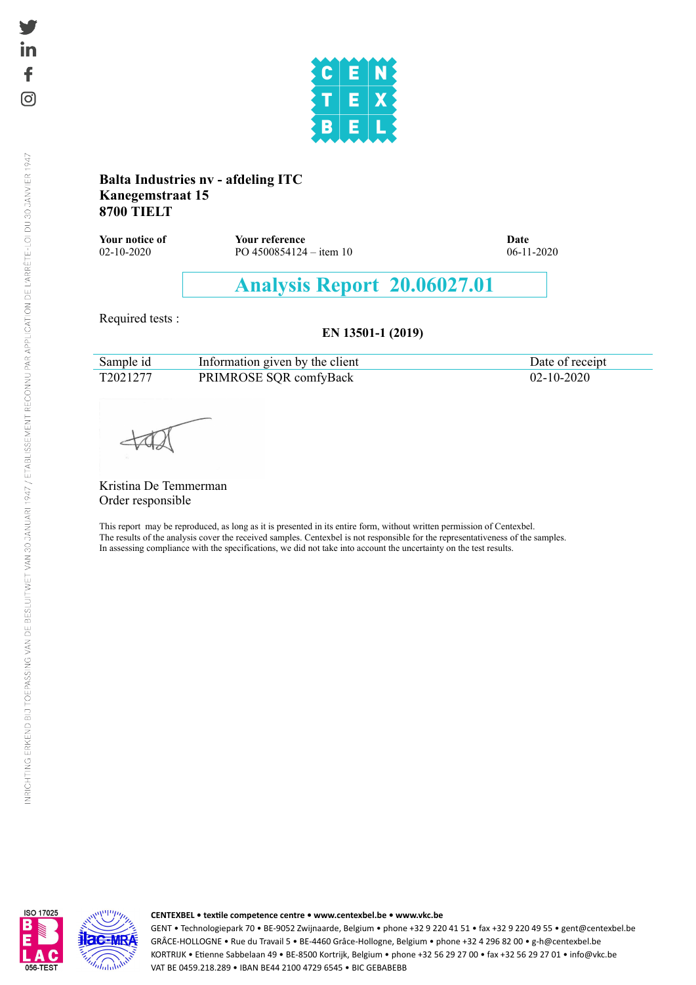

#### **Balta Industries nv - afdeling ITC Kanegemstraat 15 8700 TIELT**

**Your notice of Your reference Date** 02-10-2020 PO 4500854124 – item 10 06-11-2020

# **Analysis Report 20.06027.01**

Required tests :

#### **EN 13501-1 (2019)**

| Sample id | Information given by the client | Date of receipt |
|-----------|---------------------------------|-----------------|
| T2021277  | PRIMROSE SQR comfyBack          |                 |

Kristina De Temmerman Order responsible

This report may be reproduced, as long as it is presented in its entire form, without written permission of Centexbel. The results of the analysis cover the received samples. Centexbel is not responsible for the representativeness of the samples. In assessing compliance with the specifications, we did not take into account the uncertainty on the test results.



#### **CENTEXBEL • textile competence centre • <www.centexbel.be> • <www.vkc.be>**

GENT • Technologiepark 70 • BE-9052 Zwijnaarde, Belgium • phone +32 9 220 41 51 • fax +32 9 220 49 55 • <gent@centexbel.be> GRÂCE-HOLLOGNE • Rue du Travail 5 • BE-4460 Grâce-Hollogne, Belgium • phone +32 4 296 82 00 • <g-h@centexbel.be> KORTRIJK • Etienne Sabbelaan 49 • BE-8500 Kortrijk, Belgium • phone +32 56 29 27 00 • fax +32 56 29 27 01 • <info@vkc.be> VAT BE 0459.218.289 • IBAN BE44 2100 4729 6545 • BIC GEBABEBB

€

ତା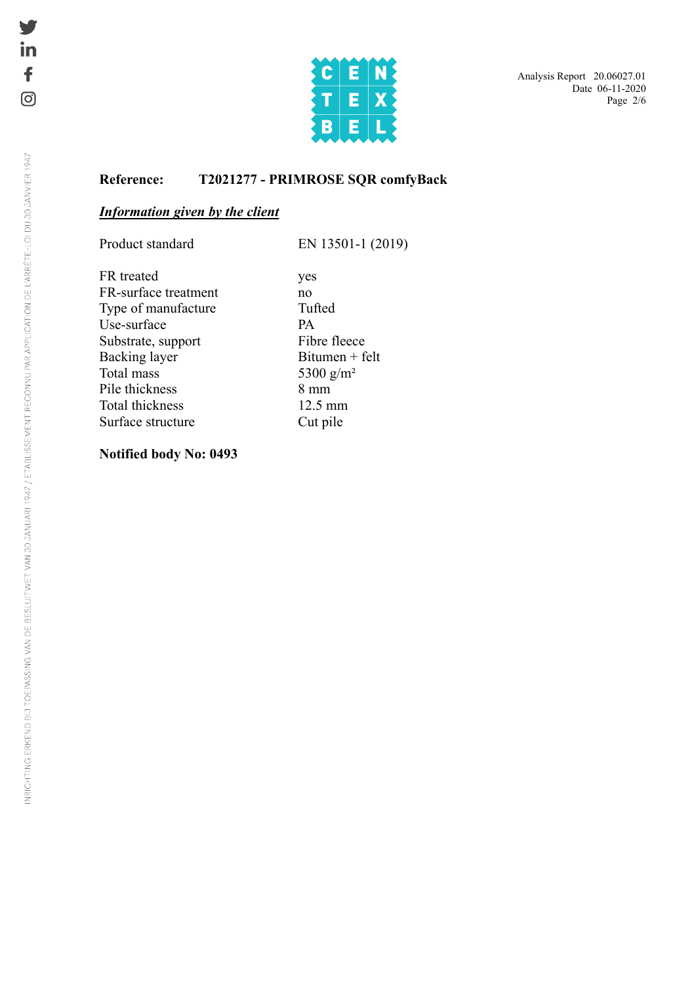

#### **Reference: T2021277 - PRIMROSE SQR comfyBack**

### *Information given by the client*

Product standard EN 13501-1 (2019)

FR treated yes FR-surface treatment no Type of manufacture Tufted Use-surface PA Substrate, support Fibre fleece  $Backing layer$  Bitumen + felt Total mass 5300 g/m<sup>2</sup> Pile thickness 8 mm<br>Total thickness 8 mm<br>12.5 mm Total thickness Surface structure Cut pile

**Notified body No: 0493**

in

£.

(o)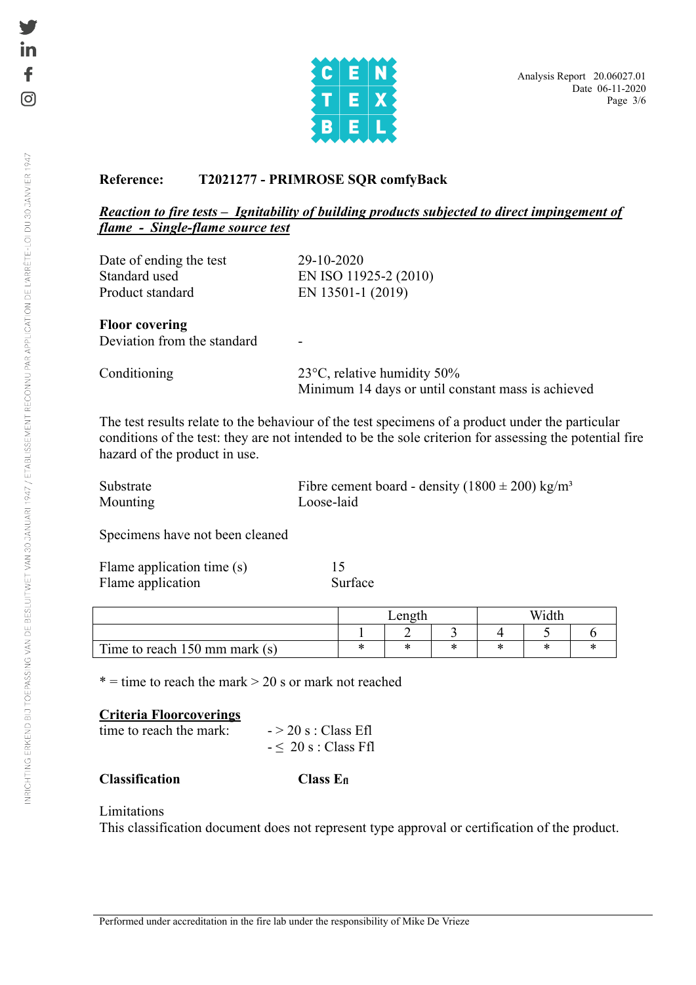

### **Reference: T2021277 - PRIMROSE SQR comfyBack**

#### *Reaction to fire tests – Ignitability of building products subjected to direct impingement of flame - Single-flame source test*

| Date of ending the test | 29-10-2020            |
|-------------------------|-----------------------|
| Standard used           | EN ISO 11925-2 (2010) |
| Product standard        | EN 13501-1 (2019)     |
|                         |                       |

#### **Floor covering**

Deviation from the standard

| Conditioning | 23 $\degree$ C, relative humidity 50%              |
|--------------|----------------------------------------------------|
|              | Minimum 14 days or until constant mass is achieved |

The test results relate to the behaviour of the test specimens of a product under the particular conditions of the test: they are not intended to be the sole criterion for assessing the potential fire hazard of the product in use.

| Substrate | Fibre cement board - density $(1800 \pm 200)$ kg/m <sup>3</sup> |
|-----------|-----------------------------------------------------------------|
| Mounting  | Loose-laid                                                      |

Specimens have not been cleaned

| Flame application time (s) |         |
|----------------------------|---------|
| Flame application          | Surface |

|                                         | enc |  |  |        |  |  |
|-----------------------------------------|-----|--|--|--------|--|--|
|                                         |     |  |  |        |  |  |
| Time to reach $150 \text{ mm}$ mark (s) |     |  |  | $\sim$ |  |  |

 $* =$  time to reach the mark  $> 20$  s or mark not reached

#### **Criteria Floorcoverings**

| time to reach the mark: |  |
|-------------------------|--|
|                         |  |

 $> 20$  s : Class Efl  $- \leq 20$  s : Class Ffl

#### **Classification Class Efl**

#### Limitations

This classification document does not represent type approval or certification of the product.

ତା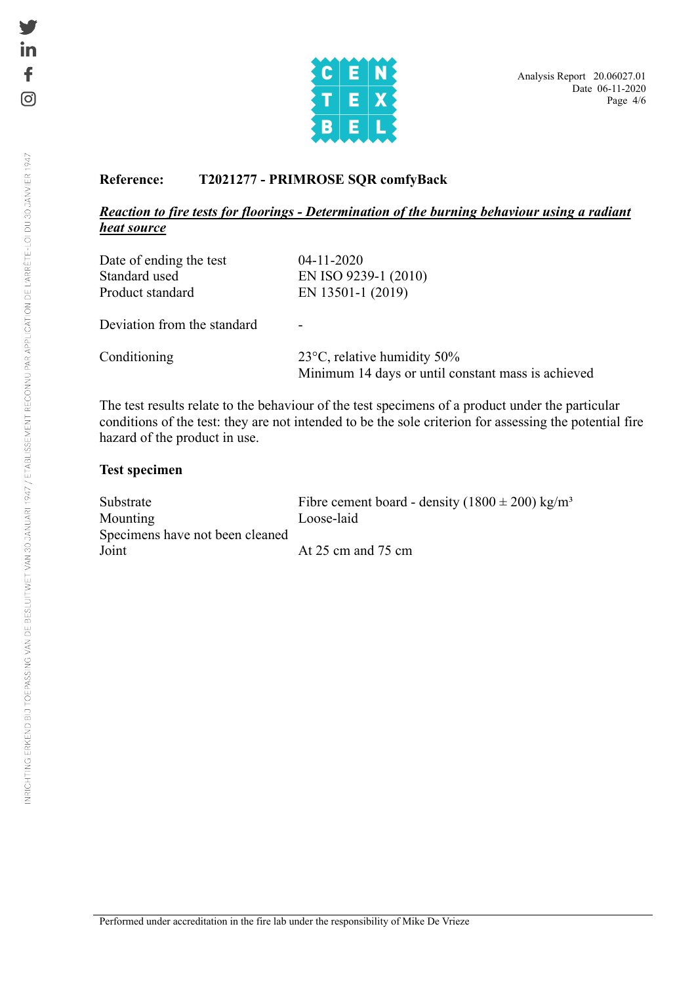

#### **Reference: T2021277 - PRIMROSE SQR comfyBack**

#### *Reaction to fire tests for floorings - Determination of the burning behaviour using a radiant heat source*

| Date of ending the test     | $04 - 11 - 2020$     |
|-----------------------------|----------------------|
| Standard used               | EN ISO 9239-1 (2010) |
| Product standard            | EN 13501-1 (2019)    |
| Deviation from the standard |                      |

Conditioning 23°C, relative humidity 50% Minimum 14 days or until constant mass is achieved

The test results relate to the behaviour of the test specimens of a product under the particular conditions of the test: they are not intended to be the sole criterion for assessing the potential fire hazard of the product in use.

#### **Test specimen**

| Substrate                       | Fibre cement board - density $(1800 \pm 200)$ kg/m <sup>3</sup> |
|---------------------------------|-----------------------------------------------------------------|
| Mounting                        | Loose-laid                                                      |
| Specimens have not been cleaned |                                                                 |
| Joint                           | At $25 \text{ cm}$ and $75 \text{ cm}$                          |

€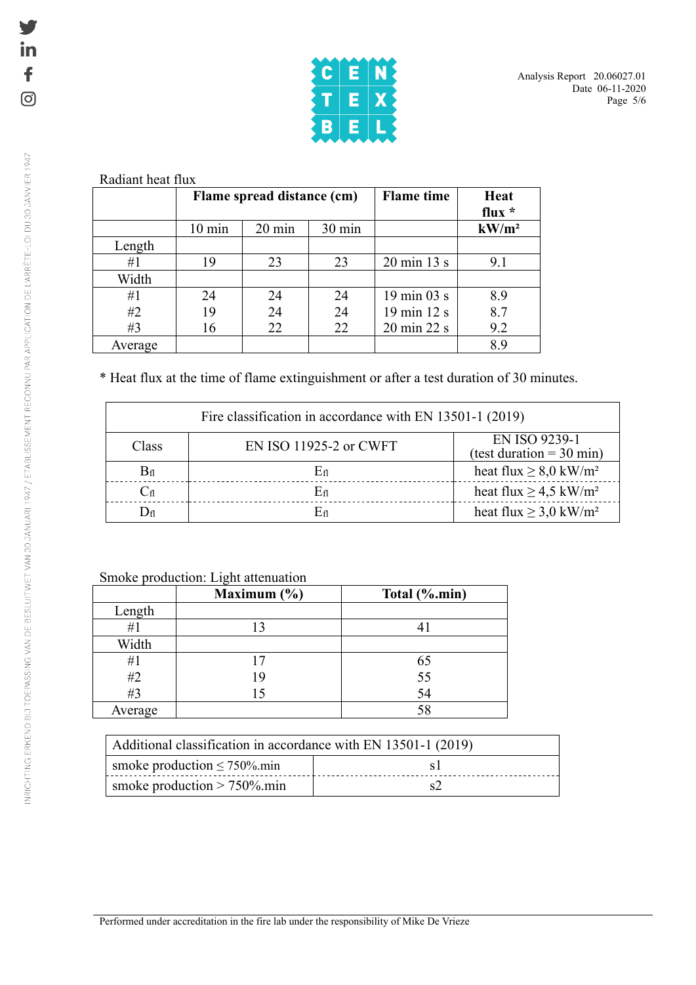

|         | Flame spread distance (cm) |                  |                  | <b>Flame</b> time              | Heat<br>flux $*$ |
|---------|----------------------------|------------------|------------------|--------------------------------|------------------|
|         | $10 \text{ min}$           | $20 \text{ min}$ | $30 \text{ min}$ |                                | $kW/m^2$         |
| Length  |                            |                  |                  |                                |                  |
| #1      | 19                         | 23               | 23               | $20 \text{ min } 13 \text{ s}$ | 9.1              |
| Width   |                            |                  |                  |                                |                  |
| #1      | 24                         | 24               | 24               | 19 min 03 s                    | 8.9              |
| #2      | 19                         | 24               | 24               | 19 min 12 s                    | 8.7              |
| #3      | 16                         | 22               | 22               | 20 min 22 s                    | 9.2              |
| Average |                            |                  |                  |                                | 8.9              |

\* Heat flux at the time of flame extinguishment or after a test duration of 30 minutes.

| Fire classification in accordance with EN 13501-1 (2019) |                        |                                                             |  |  |
|----------------------------------------------------------|------------------------|-------------------------------------------------------------|--|--|
| Class                                                    | EN ISO 11925-2 or CWFT | <b>EN ISO 9239-1</b><br>(test duration = $30 \text{ min}$ ) |  |  |
| $\rm B_{fl}$                                             | Eп                     | heat flux $\geq 8.0$ kW/m <sup>2</sup>                      |  |  |
| $\mathrm{C}_{\mathrm{fl}}$                               | En                     | heat flux $\geq 4.5$ kW/m <sup>2</sup>                      |  |  |
| ) fl                                                     | En                     | heat flux $\geq$ 3,0 kW/m <sup>2</sup>                      |  |  |

Smoke production: Light attenuation

|         | Maximum $(\% )$ | Total (%.min) |
|---------|-----------------|---------------|
| Length  |                 |               |
| #1      |                 |               |
| Width   |                 |               |
| #1      | 17              | 65            |
| #2      | 19              | 55<br>54      |
| #3      | 15              |               |
| Average |                 | 58            |

| Additional classification in accordance with EN 13501-1 (2019) |  |  |  |
|----------------------------------------------------------------|--|--|--|
| smoke production $\leq 750\%$ min                              |  |  |  |
| smoke production $> 750\%$ .min                                |  |  |  |

in  $\ddot{\mathbf{f}}$ 

 $\odot$